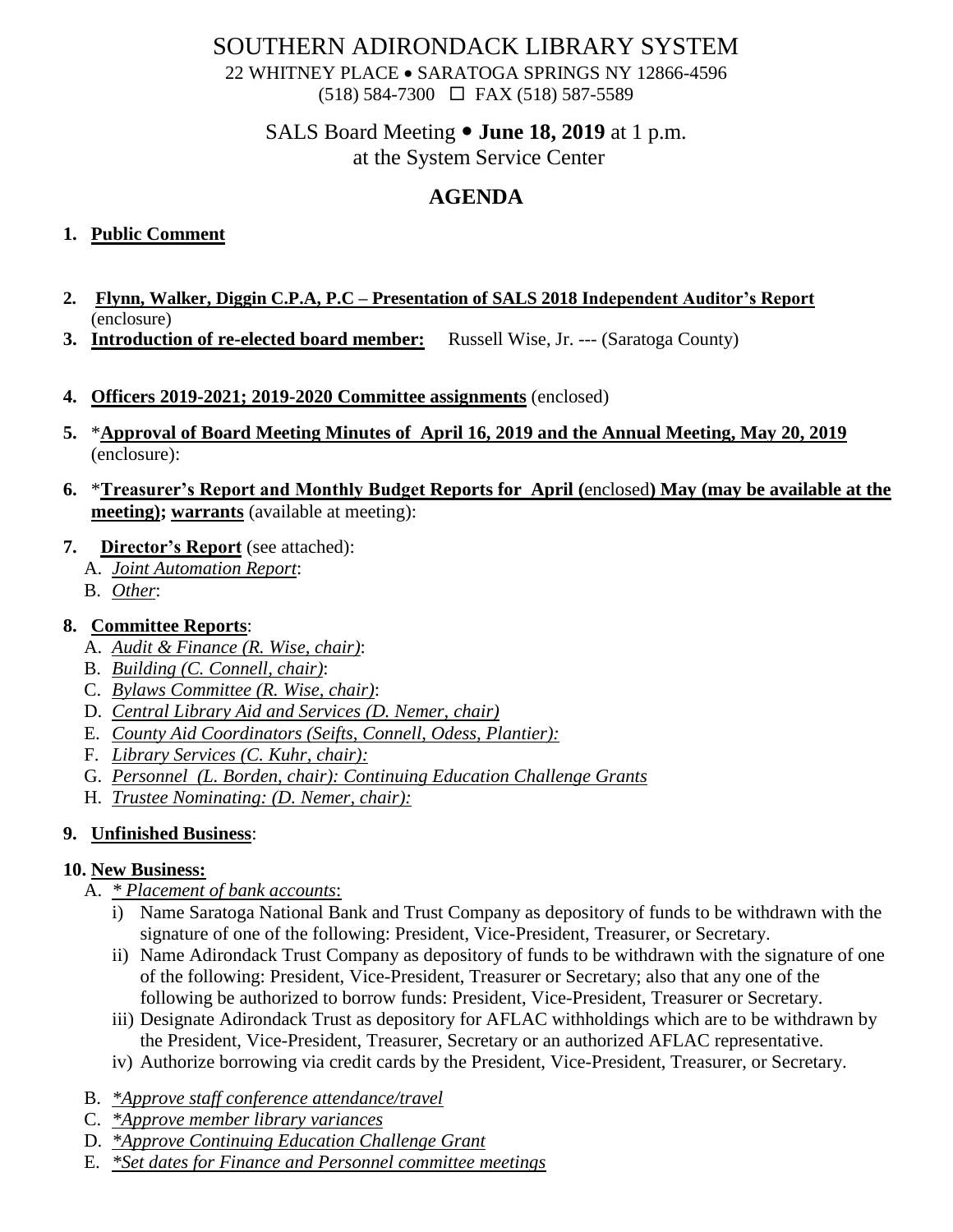## SOUTHERN ADIRONDACK LIBRARY SYSTEM

22 WHITNEY PLACE • SARATOGA SPRINGS NY 12866-4596 (518) 584-7300 FAX (518) 587-5589

# SALS Board Meeting **June 18, 2019** at 1 p.m.

at the System Service Center

# **AGENDA**

#### **1. Public Comment**

- **2. Flynn, Walker, Diggin C.P.A, P.C – Presentation of SALS 2018 Independent Auditor's Report** (enclosure)
- **3. Introduction of re-elected board member:** Russell Wise, Jr. --- (Saratoga County)
- **4. Officers 2019-2021; 2019-2020 Committee assignments** (enclosed)
- **5.** \***Approval of Board Meeting Minutes of April 16, 2019 and the Annual Meeting, May 20, 2019** (enclosure):
- **6.** \***Treasurer's Report and Monthly Budget Reports for April (**enclosed**) May (may be available at the meeting); warrants** (available at meeting):
- **7. Director's Report** (see attached):
	- A. *Joint Automation Report*:
	- B. *Other*:

## **8. Committee Reports**:

- A. *Audit & Finance (R. Wise, chair)*:
- B. *Building (C. Connell, chair)*:
- C. *Bylaws Committee (R. Wise, chair)*:
- D. *Central Library Aid and Services (D. Nemer, chair)*
- E. *County Aid Coordinators (Seifts, Connell, Odess, Plantier):*
- F. *Library Services (C. Kuhr, chair):*
- G. *Personnel (L. Borden, chair): Continuing Education Challenge Grants*
- H. *Trustee Nominating: (D. Nemer, chair):*

## **9. Unfinished Business**:

## **10. New Business:**

- A. *\* Placement of bank accounts*:
	- i) Name Saratoga National Bank and Trust Company as depository of funds to be withdrawn with the signature of one of the following: President, Vice-President, Treasurer, or Secretary.
	- ii) Name Adirondack Trust Company as depository of funds to be withdrawn with the signature of one of the following: President, Vice-President, Treasurer or Secretary; also that any one of the following be authorized to borrow funds: President, Vice-President, Treasurer or Secretary.
	- iii) Designate Adirondack Trust as depository for AFLAC withholdings which are to be withdrawn by the President, Vice-President, Treasurer, Secretary or an authorized AFLAC representative.
	- iv) Authorize borrowing via credit cards by the President, Vice-President, Treasurer, or Secretary.
- B. *\*Approve staff conference attendance/travel*
- C. *\*Approve member library variances*
- D. *\*Approve Continuing Education Challenge Grant*
- E. *\*Set dates for Finance and Personnel committee meetings*